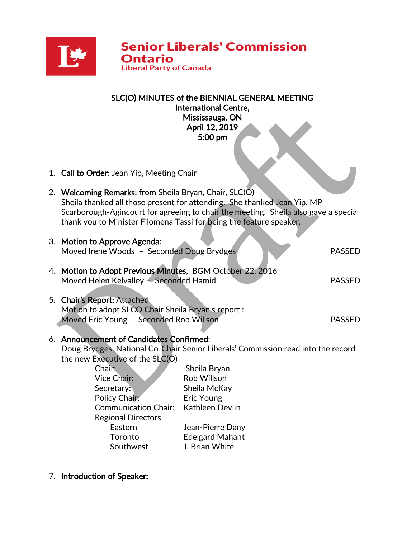

| SLC(O) MINUTES of the BIENNIAL GENERAL MEETING<br><b>International Centre,</b><br>Mississauga, ON<br>April 12, 2019<br>5:00 pm     |
|------------------------------------------------------------------------------------------------------------------------------------|
| 1. Call to Order: Jean Yip, Meeting Chair                                                                                          |
| 2. Welcoming Remarks: from Sheila Bryan, Chair, SLC(O)<br>Sheila thanked all those present for attending. She thanked Jean Yip, MP |

Scarborough-Agincourt for agreeing to chair the meeting. Sheila also gave a special thank you to Minister Filomena Tassi for being the feature speaker.

| 3. Motion to Approve Agenda:<br>Moved Irene Woods - Seconded Doug Brydges                            |                 | <b>PASSED</b> |  |
|------------------------------------------------------------------------------------------------------|-----------------|---------------|--|
| 4. Motion to Adopt Previous Minutes,: BGM October 22, 2016<br>Moved Helen Kelvalley – Seconded Hamid |                 |               |  |
| 5. Chair's Report: Attached<br>Motion to adopt SLCO Chair Sheila Bryan's report :                    |                 |               |  |
| Moved Eric Young - Seconded Rob Willson                                                              |                 |               |  |
| 6. Announcement of Candidates Confirmed:                                                             |                 |               |  |
| Doug Brydges, National Co-Chair Senior Liberals' Commission read into the record                     |                 |               |  |
| the new Executive of the SLC(O)                                                                      |                 |               |  |
| Chair:                                                                                               | Sheila Bryan    |               |  |
| Vice Chair:                                                                                          | Rob Willson     |               |  |
| Secretary:                                                                                           | Sheila McKay    |               |  |
| Policy Chair:                                                                                        | Eric Young      |               |  |
| Communication Chair:                                                                                 | Kathleen Devlin |               |  |

Regional Directors Eastern Jean-Pierre Dany Toronto Edelgard Mahant Southwest J. Brian White

7. Introduction of Speaker: